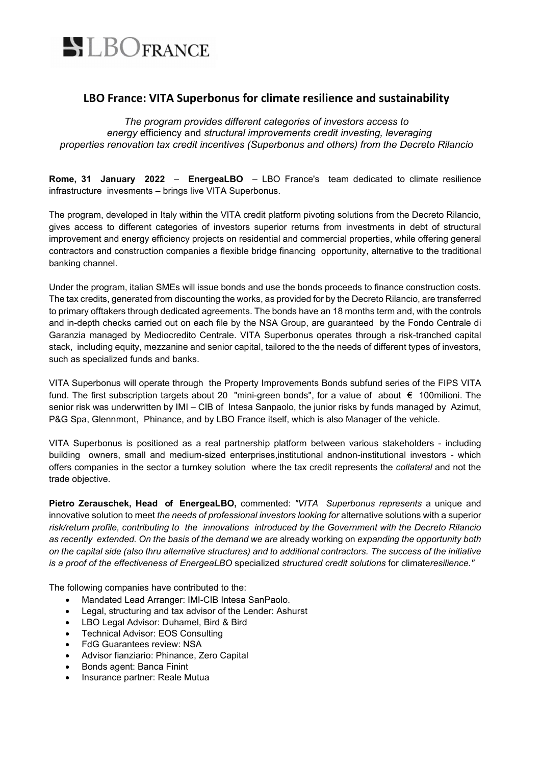

## **LBO France: VITA Superbonus for climate resilience and sustainability**

*The program provides different categories of investors access to energy* efficiency and *structural improvements credit investing, leveraging properties renovation tax credit incentives (Superbonus and others) from the Decreto Rilancio*

**Rome, 31 January 2022** – **EnergeaLBO** – LBO France's team dedicated to climate resilience infrastructure invesments – brings live VITA Superbonus.

The program, developed in Italy within the VITA credit platform pivoting solutions from the Decreto Rilancio, gives access to different categories of investors superior returns from investments in debt of structural improvement and energy efficiency projects on residential and commercial properties, while offering general contractors and construction companies a flexible bridge financing opportunity, alternative to the traditional banking channel.

Under the program, italian SMEs will issue bonds and use the bonds proceeds to finance construction costs. The tax credits, generated from discounting the works, as provided for by the Decreto Rilancio, are transferred to primary offtakers through dedicated agreements. The bonds have an 18 months term and, with the controls and in-depth checks carried out on each file by the NSA Group, are guaranteed by the Fondo Centrale di Garanzia managed by Mediocredito Centrale. VITA Superbonus operates through a risk-tranched capital stack, including equity, mezzanine and senior capital, tailored to the the needs of different types of investors, such as specialized funds and banks.

VITA Superbonus will operate through the Property Improvements Bonds subfund series of the FIPS VITA fund. The first subscription targets about 20 "mini-green bonds", for a value of about € 100milioni. The senior risk was underwritten by IMI – CIB of Intesa Sanpaolo, the junior risks by funds managed by Azimut, P&G Spa, Glennmont, Phinance, and by LBO France itself, which is also Manager of the vehicle.

VITA Superbonus is positioned as a real partnership platform between various stakeholders - including building owners, small and medium-sized enterprises,institutional andnon-institutional investors - which offers companies in the sector a turnkey solution where the tax credit represents the *collateral* and not the trade objective.

**Pietro Zerauschek, Head of EnergeaLBO,** commented: *"VITA Superbonus represents* a unique and innovative solution to meet *the needs of professional investors looking for* alternative solutions with a superior *risk/return profile, contributing to the innovations introduced by the Government with the Decreto Rilancio as recently extended. On the basis of the demand we are* already working on *expanding the opportunity both on the capital side (also thru alternative structures) and to additional contractors. The success of the initiative is a proof of the effectiveness of EnergeaLBO* specialized *structured credit solutions* for climate*resilience."*

The following companies have contributed to the:

- Mandated Lead Arranger: IMI-CIB Intesa SanPaolo.
- Legal, structuring and tax advisor of the Lender: Ashurst
- LBO Legal Advisor: Duhamel, Bird & Bird
- Technical Advisor: EOS Consulting
- FdG Guarantees review: NSA
- Advisor fianziario: Phinance, Zero Capital
- Bonds agent: Banca Finint
- Insurance partner: Reale Mutua